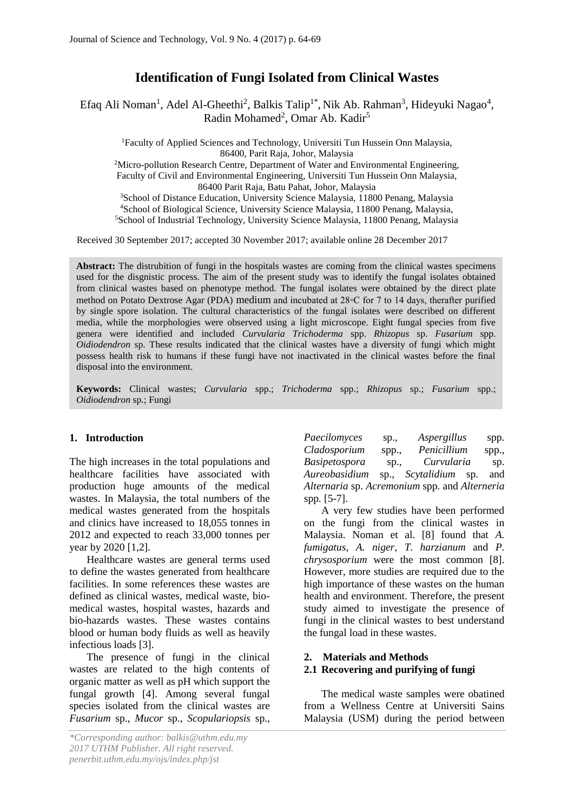# **Identification of Fungi Isolated from Clinical Wastes**

Efaq Ali Noman<sup>1</sup>, Adel Al-Gheethi<sup>2</sup>, Balkis Talip<sup>1\*</sup>, Nik Ab. Rahman<sup>3</sup>, Hideyuki Nagao<sup>4</sup>, Radin Mohamed<sup>2</sup>, Omar Ab. Kadir<sup>5</sup>

<sup>1</sup>Faculty of Applied Sciences and Technology, Universiti Tun Hussein Onn Malaysia, 86400, Parit Raja, Johor, Malaysia

 $2$ Micro-pollution Research Centre, Department of Water and Environmental Engineering, Faculty of Civil and Environmental Engineering, Universiti Tun Hussein Onn Malaysia, 86400 Parit Raja, Batu Pahat, Johor, Malaysia

<sup>3</sup>School of Distance Education, University Science Malaysia, 11800 Penang, Malaysia <sup>4</sup>School of Biological Science, University Science Malaysia, 11800 Penang, Malaysia, <sup>5</sup>School of Industrial Technology, University Science Malaysia, 11800 Penang, Malaysia

Received 30 September 2017; accepted 30 November 2017; available online 28 December 2017

**Abstract:** The distrubition of fungi in the hospitals wastes are coming from the clinical wastes specimens used for the disgnistic process. The aim of the present study was to identify the fungal isolates obtained from clinical wastes based on phenotype method. The fungal isolates were obtained by the direct plate method on Potato Dextrose Agar (PDA) medium and incubated at 28◦C for 7 to 14 days, therafter purified by single spore isolation. The cultural characteristics of the fungal isolates were described on different media, while the morphologies were observed using a light microscope. Eight fungal species from five genera were identified and included *Curvularia Trichoderma* spp. *Rhizopus* sp. *Fusarium* spp. *Oidiodendron* sp. These results indicated that the clinical wastes have a diversity of fungi which might possess health risk to humans if these fungi have not inactivated in the clinical wastes before the final disposal into the environment.

**Keywords:** Clinical wastes; *Curvularia* spp.; *Trichoderma* spp.; *Rhizopus* sp.; *Fusarium* spp.; *Oidiodendron* sp.; Fungi

# **1. Introduction**

The high increases in the total populations and healthcare facilities have associated with production huge amounts of the medical wastes. In Malaysia, the total numbers of the medical wastes generated from the hospitals and clinics have increased to 18,055 tonnes in 2012 and expected to reach 33,000 tonnes per year by 2020 [1,2].

Healthcare wastes are general terms used to define the wastes generated from healthcare facilities. In some references these wastes are defined as clinical wastes, medical waste, biomedical wastes, hospital wastes, hazards and bio-hazards wastes. These wastes contains blood or human body fluids as well as heavily infectious loads [3].

The presence of fungi in the clinical wastes are related to the high contents of organic matter as well as pH which support the fungal growth [4]. Among several fungal species isolated from the clinical wastes are *Fusarium* sp., *Mucor* sp., *Scopulariopsis* sp.,

*Paecilomyces* sp., *Aspergillus* spp*. Cladosporium* spp., *Penicillium* spp., *Basipetospora* sp., *Curvularia* sp. *Aureobasidium* sp., *Scytalidium* sp. and *Alternaria* sp. *Acremonium* spp*.* and *Alterneria* spp*.* [5-7].

A very few studies have been performed on the fungi from the clinical wastes in Malaysia. Noman et al. [8] found that *A. fumigatus*, *A. niger*, *T. harzianum* and *P. chrysosporium* were the most common [8]. However, more studies are required due to the high importance of these wastes on the human health and environment. Therefore, the present study aimed to investigate the presence of fungi in the clinical wastes to best understand the fungal load in these wastes.

# **2. Materials and Methods**

# **2.1 Recovering and purifying of fungi**

The medical waste samples were obatined from a Wellness Centre at Universiti Sains Malaysia (USM) during the period between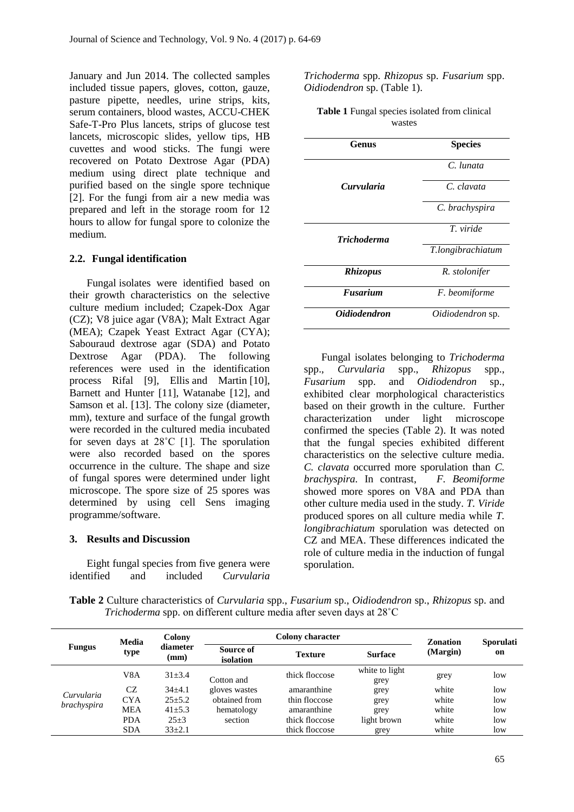January and Jun 2014. The collected samples included tissue papers, gloves, cotton, gauze, pasture pipette, needles, urine strips, kits, serum containers, blood wastes, ACCU-CHEK Safe-T-Pro Plus lancets, strips of glucose test lancets, microscopic slides, yellow tips, HB cuvettes and wood sticks. The fungi were recovered on Potato Dextrose Agar (PDA) medium using direct plate technique and purified based on the single spore technique [2]. For the fungi from air a new media was prepared and left in the storage room for 12 hours to allow for fungal spore to colonize the medium.

### **2.2. Fungal identification**

Fungal isolates were identified based on their growth characteristics on the selective culture medium included; Czapek-Dox Agar (CZ); V8 juice agar (V8A); Malt Extract Agar (MEA); Czapek Yeast Extract Agar (CYA); Sabouraud dextrose agar (SDA) and Potato Dextrose Agar (PDA). The following references were used in the identification process Rifal [9], Ellis and Martin [10], Barnett and Hunter [11], Watanabe [12], and Samson et al. [13]. The colony size (diameter, mm), texture and surface of the fungal growth were recorded in the cultured media incubated for seven days at 28˚C [1]. The sporulation were also recorded based on the spores occurrence in the culture. The shape and size of fungal spores were determined under light microscope. The spore size of 25 spores was determined by using cell Sens imaging programme/software.

#### **3. Results and Discussion**

Eight fungal species from five genera were identified and included *Curvularia* *Trichoderma* spp. *Rhizopus* sp. *Fusarium* spp. *Oidiodendron* sp. (Table 1).

| <b>Table 1</b> Fungal species isolated from clinical |
|------------------------------------------------------|
| wastes                                               |

| Genus                      | <b>Species</b>          |
|----------------------------|-------------------------|
|                            | C. lunata               |
| Curvularia                 | C. clavata              |
|                            | C. brachyspira          |
|                            | T viride                |
| <b>Trichoderma</b>         | T.longibrachiatum       |
| <b>Rhizopus</b>            | R. stolonifer           |
| <b>Fusarium</b>            | F. beomiforme           |
| <i><b>Oidiodendron</b></i> | <i>Oidiodendron</i> sp. |

Fungal isolates belonging to *Trichoderma* spp., *Curvularia* spp., *Rhizopus* spp., *Fusarium* spp. and *Oidiodendron* sp., exhibited clear morphological characteristics based on their growth in the culture. Further characterization under light microscope confirmed the species (Table 2). It was noted that the fungal species exhibited different characteristics on the selective culture media. *C. clavata* occurred more sporulation than *C. brachyspira.* In contrast, *F. Beomiforme* showed more spores on V8A and PDA than other culture media used in the study. *T. Viride* produced spores on all culture media while *T. longibrachiatum* sporulation was detected on CZ and MEA. These differences indicated the role of culture media in the induction of fungal sporulation.

**Table 2** Culture characteristics of *Curvularia* spp., *Fusarium* sp., *Oidiodendron* sp., *Rhizopus* sp. and *Trichoderma* spp. on different culture media after seven days at 28˚C

|                           | Media<br>type    | Colony           |                        | <b>Zonation</b> | <b>Sporulati</b>       |          |     |
|---------------------------|------------------|------------------|------------------------|-----------------|------------------------|----------|-----|
| <b>Fungus</b>             |                  | diameter<br>(mm) | Source of<br>isolation | <b>Texture</b>  | <b>Surface</b>         | (Margin) | on  |
|                           | V <sub>8</sub> A | $31\pm3.4$       | Cotton and             | thick floccose  | white to light<br>grey | grey     | low |
| Curvularia<br>brachyspira | CZ               | $34\pm4.1$       | gloves wastes          | amaranthine     | grey                   | white    | low |
|                           | <b>CYA</b>       | $25 + 5.2$       | obtained from          | thin floccose   | grey                   | white    | low |
|                           | <b>MEA</b>       | $41\pm5.3$       | hematology             | amaranthine     | grey                   | white    | low |
|                           | <b>PDA</b>       | $25 + 3$         | section                | thick floccose  | light brown            | white    | low |
|                           | <b>SDA</b>       | $33\pm2.1$       |                        | thick floccose  | grey                   | white    | low |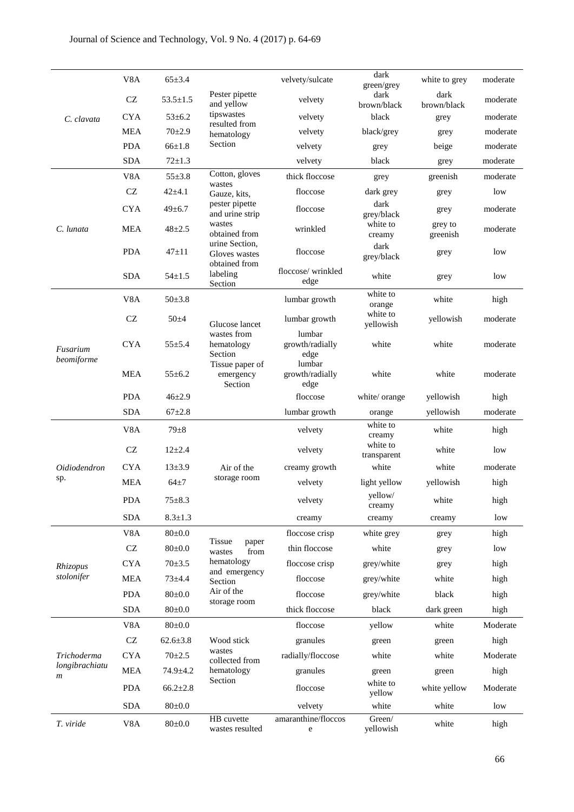|                                    | V8A                 | $65 \pm 3.4$   |                                                  | velvety/sulcate                   | dark<br>green/grey      | white to grey       | moderate |
|------------------------------------|---------------------|----------------|--------------------------------------------------|-----------------------------------|-------------------------|---------------------|----------|
| C. clavata                         | $\operatorname{CZ}$ | $53.5 \pm 1.5$ | Pester pipette<br>and yellow                     | velvety                           | dark<br>brown/black     | dark<br>brown/black | moderate |
|                                    | <b>CYA</b>          | $53 \pm 6.2$   | tipswastes                                       | velvety                           | black                   | grey                | moderate |
|                                    | <b>MEA</b>          | $70+2.9$       | resulted from<br>hematology                      | velvety                           | black/grey              | grey                | moderate |
|                                    | <b>PDA</b>          | $66 \pm 1.8$   | Section                                          | velvety                           | grey                    | beige               | moderate |
|                                    | <b>SDA</b>          | $72 \pm 1.3$   |                                                  | velvety                           | black                   | grey                | moderate |
|                                    | V <sub>8</sub> A    | $55 \pm 3.8$   | Cotton, gloves<br>wastes                         | thick floccose                    | grey                    | greenish            | moderate |
|                                    | CZ                  | $42 + 4.1$     | Gauze, kits,                                     | floccose                          | dark grey               | grey                | low      |
|                                    | <b>CYA</b>          | $49 \pm 6.7$   | pester pipette<br>and urine strip                | floccose                          | dark<br>grey/black      | grey                | moderate |
| C. lunata                          | <b>MEA</b>          | $48 + 2.5$     | wastes<br>obtained from                          | wrinkled                          | white to<br>creamy      | grey to<br>greenish | moderate |
|                                    | <b>PDA</b>          | $47 + 11$      | urine Section,<br>Gloves wastes<br>obtained from | floccose                          | dark<br>grey/black      | grey                | low      |
|                                    | <b>SDA</b>          | $54 \pm 1.5$   | labeling<br>Section                              | floccose/wrinkled<br>edge         | white                   | grey                | low      |
|                                    | V8A                 | $50 \pm 3.8$   |                                                  | lumbar growth                     | white to<br>orange      | white               | high     |
|                                    | $\operatorname{CZ}$ | $50 + 4$       | Glucose lancet                                   | lumbar growth                     | white to<br>yellowish   | yellowish           | moderate |
| Fusarium<br>beomiforme             | <b>CYA</b>          | $55 \pm 5.4$   | wastes from<br>hematology<br>Section             | lumbar<br>growth/radially<br>edge | white                   | white               | moderate |
|                                    | <b>MEA</b>          | $55 \pm 6.2$   | Tissue paper of<br>emergency<br>Section          | lumbar<br>growth/radially<br>edge | white                   | white               | moderate |
|                                    | <b>PDA</b>          | $46 + 2.9$     |                                                  | floccose                          | white/orange            | yellowish           | high     |
|                                    | <b>SDA</b>          | $67 + 2.8$     |                                                  | lumbar growth                     | orange                  | yellowish           | moderate |
|                                    | V <sub>8</sub> A    | $79\pm8$       |                                                  | velvety                           | white to<br>creamy      | white               | high     |
|                                    | <b>CZ</b>           | $12 + 2.4$     |                                                  | velvety                           | white to<br>transparent | white               | low      |
| <i>Oidiodendron</i>                | <b>CYA</b>          | $13 + 3.9$     | Air of the                                       | creamy growth                     | white                   | white               | moderate |
| sp.                                | <b>MEA</b>          | $64\pm7$       | storage room                                     | velvety                           | light yellow            | yellowish           | high     |
|                                    | <b>PDA</b>          | $75 + 8.3$     |                                                  | velvety                           | yellow/<br>creamy       | white               | high     |
|                                    | <b>SDA</b>          | $8.3 \pm 1.3$  |                                                  | creamy                            | creamy                  | creamy              | low      |
|                                    | V8A                 | $80 \pm 0.0$   | <b>Tissue</b>                                    | floccose crisp                    | white grey              | grey                | high     |
|                                    | $\operatorname{CZ}$ | $80 \pm 0.0$   | paper<br>from<br>wastes                          | thin floccose                     | white                   | grey                | low      |
| Rhizopus                           | <b>CYA</b>          | $70 \pm 3.5$   | hematology                                       | floccose crisp                    | grey/white              | grey                | high     |
| stolonifer                         | <b>MEA</b>          | $73 + 4.4$     | and emergency<br>Section                         | floccose                          | grey/white              | white               | high     |
|                                    | <b>PDA</b>          | $80 \pm 0.0$   | Air of the<br>storage room                       | floccose                          | grey/white              | black               | high     |
|                                    | <b>SDA</b>          | $80{\pm}0.0$   |                                                  | thick floccose                    | black                   | dark green          | high     |
|                                    | V8A                 | $80 \pm 0.0$   |                                                  | floccose                          | yellow                  | white               | Moderate |
|                                    | $\operatorname{CZ}$ | $62.6 \pm 3.8$ | Wood stick                                       | granules                          | green                   | green               | high     |
| Trichoderma                        | <b>CYA</b>          | $70 + 2.5$     | wastes<br>collected from                         | radially/floccose                 | white                   | white               | Moderate |
| longibrachiatu<br>$\boldsymbol{m}$ | <b>MEA</b>          | $74.9 \pm 4.2$ | hematology                                       | granules                          | green                   | green               | high     |
|                                    | <b>PDA</b>          | $66.2{\pm}2.8$ | Section                                          | floccose                          | white to<br>yellow      | white yellow        | Moderate |
|                                    | <b>SDA</b>          | $80 \pm 0.0$   |                                                  | velvety                           | white                   | white               | low      |
| T. viride                          | V8A                 | $80 \pm 0.0$   | HB cuvette<br>wastes resulted                    | amaranthine/floccos<br>e          | Green/<br>yellowish     | white               | high     |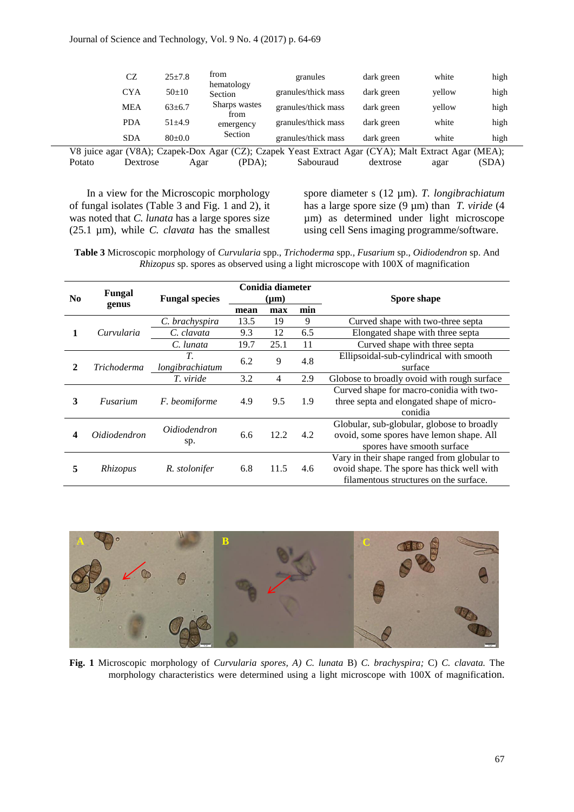|                                                                                                      | CZ         | $25 \pm 7.8$ | from                  | granules            | dark green | white  | high |
|------------------------------------------------------------------------------------------------------|------------|--------------|-----------------------|---------------------|------------|--------|------|
|                                                                                                      | <b>CYA</b> | $50+10$      | hematology<br>Section | granules/thick mass | dark green | vellow | high |
|                                                                                                      | <b>MEA</b> | $63 \pm 6.7$ | Sharps wastes<br>trom | granules/thick mass | dark green | vellow | high |
|                                                                                                      | <b>PDA</b> | $51 + 4.9$   | emergency             | granules/thick mass | dark green | white  | high |
|                                                                                                      | <b>SDA</b> | $80 \pm 0.0$ | Section               | granules/thick mass | dark green | white  | high |
| V8 juice agar (V8A); Czapek-Dox Agar (CZ); Czapek Yeast Extract Agar (CYA); Malt Extract Agar (MEA); |            |              |                       |                     |            |        |      |

Potato Dextrose Agar (PDA); Sabouraud dextrose agar (SDA)

In a view for the Microscopic morphology of fungal isolates (Table 3 and Fig. 1 and 2), it was noted that *C. lunata* has a large spores size (25.1 µm), while *C. clavata* has the smallest spore diameter s (12 µm). *T. longibrachiatum* has a large spore size (9 µm) than *T. viride* (4 µm) as determined under light microscope using cell Sens imaging programme/software.

**Table 3** Microscopic morphology of *Curvularia* spp., *Trichoderma* spp*., Fusarium* sp., *Oidiodendron* sp. And *Rhizopus* sp. spores as observed using a light microscope with 100X of magnification

|          | Fungal              |                       | Conidia diameter |               |      |                                             |                                          |                                            |
|----------|---------------------|-----------------------|------------------|---------------|------|---------------------------------------------|------------------------------------------|--------------------------------------------|
| $\bf No$ | genus               | <b>Fungal species</b> | $(\mu m)$        |               |      | Spore shape                                 |                                          |                                            |
|          |                     |                       | mean             | max           | min  |                                             |                                          |                                            |
|          |                     | C. brachyspira        | 13.5             | 19            | 9    | Curved shape with two-three septa           |                                          |                                            |
|          | Curvularia          | C. clavata            | 9.3              | 12            | 6.5  | Elongated shape with three septa            |                                          |                                            |
|          |                     | C. lunata             | 19.7             | 25.1          | 11   | Curved shape with three septa               |                                          |                                            |
|          |                     | T.<br>6.2             |                  | 9             |      | Ellipsoidal-sub-cylindrical with smooth     |                                          |                                            |
| 2        | <i>Trichoderma</i>  | longibrachiatum       |                  |               | 4.8  | surface                                     |                                          |                                            |
|          |                     | T. viride             | 3.2              | 4             | 2.9  | Globose to broadly ovoid with rough surface |                                          |                                            |
|          |                     |                       | 4.9              | 9.5           | 1.9  | Curved shape for macro-conidia with two-    |                                          |                                            |
| 3        | Fusarium            | F. beomiforme         |                  |               |      | three septa and elongated shape of micro-   |                                          |                                            |
|          |                     |                       |                  |               |      | conidia                                     |                                          |                                            |
|          |                     | <i>Oidiodendron</i>   |                  |               |      | Globular, sub-globular, globose to broadly  |                                          |                                            |
| 4        | <i>Oidiodendron</i> |                       |                  | 6.6           | 12.2 | 4.2                                         | ovoid, some spores have lemon shape. All |                                            |
|          |                     | sp.                   |                  |               |      | spores have smooth surface                  |                                          |                                            |
| 5        |                     |                       |                  |               |      | Vary in their shape ranged from globular to |                                          |                                            |
|          | Rhizopus            |                       |                  | R. stolonifer | 6.8  | 11.5                                        | 4.6                                      | ovoid shape. The spore has thick well with |
|          |                     |                       |                  |               |      | filamentous structures on the surface.      |                                          |                                            |



**Fig. 1** Microscopic morphology of *Curvularia spores, A) C. lunata* B) *C. brachyspira;* C) *C. clavata.* The morphology characteristics were determined using a light microscope with 100X of magnification.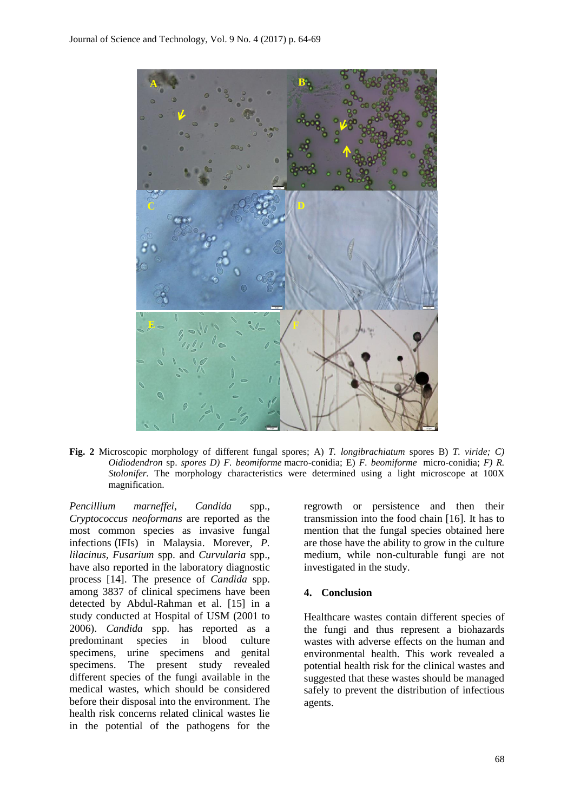

**Fig. 2** Microscopic morphology of different fungal spores; A) *T. longibrachiatum* spores B) *T. viride; C) Oidiodendron* sp. *spores D) F. beomiforme* macro-conidia; E) *F. beomiforme* micro-conidia; *F) R. Stolonifer.* The morphology characteristics were determined using a light microscope at 100X magnification.

*Pencillium marneffei, Candida* spp., *Cryptococcus neoformans* are reported as the most common species as invasive fungal infections (IFIs) in Malaysia. Morever, *P. lilacinus, Fusarium* spp. and *Curvularia* spp., have also reported in the laboratory diagnostic process [14]. The presence of *Candida* spp. among 3837 of clinical specimens have been detected by Abdul-Rahman et al. [15] in a study conducted at Hospital of USM (2001 to 2006). *Candida* spp. has reported as a predominant species in blood culture specimens, urine specimens and genital specimens. The present study revealed different species of the fungi available in the medical wastes, which should be considered before their disposal into the environment. The health risk concerns related clinical wastes lie in the potential of the pathogens for the regrowth or persistence and then their transmission into the food chain [16]. It has to mention that the fungal species obtained here are those have the ability to grow in the culture medium, while non-culturable fungi are not investigated in the study.

#### **4. Conclusion**

Healthcare wastes contain different species of the fungi and thus represent a biohazards wastes with adverse effects on the human and environmental health. This work revealed a potential health risk for the clinical wastes and suggested that these wastes should be managed safely to prevent the distribution of infectious agents.